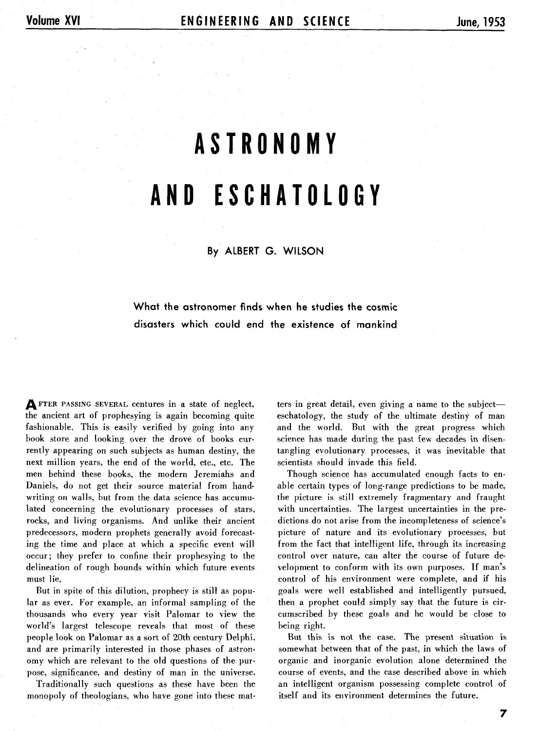# **ASTRONOMY AND ESCHATOLOGY**

**By ALBERT G. WILSON** 

**What the astronomer finds when he studies the cosmic disasters which could end the existence of mankind** 

AFTER PASSING SEVERAL centures in a state of neglect, the ancient art of prophesying is again becoming quite fashionable. This is easily verified by going into any book store and looking over the drove of books currently appearing on such subjects as human destiny, the next million years, the end of the world, etc., etc. The men behind these books, the modern Jeremiahs and Daniels, do not get their source material from handwriting on walls, but from the data science has accumulated concerning the evolutionary processes of stars, rocks, and living organisms. And unlike their ancient predecessors, modern prophets generally avoid forecasting the time and place at which a specific event will occur; bhey prefer to confine their prophesying to the delineation of rough bounds within which future events must lie.

But in spite of this dilution, prophecy is still as popular as ever. For example, an informal sampling of the thousands who every year visit Palomar to view the world's largest telescope reveals that most of these people look on Palomar as a sort of 20th century Delphi, and are primarily interested in those phases of astronomy which are relevant to the old questions of the purpose, significance, and destiny of man in the universe.

Traditionally such questions as these have been the monopoly of theologians, who have gone into these matters in great detail, even giving a name to the subjecteschatology, the study of the ultimate destiny of man and the world. But with the great progress which science has made during the past few decades in disentangling evolutionary processes, it was inevitable that scientists should invade this field.

Though science has accumulated enough facts to enable certain types of long-range predictions to be made, the picture is still extremely fragmentary and fraught with uncertainties. The largest uncertainties in the predictions do not arise from the incompleteness of science's picture of nature and its evolutionary processes, but from the fact that intelligent life, through its increasing control over nature, can alter the course of future development to conform with its own purposes. If man's control of his environment were complete, and if his goals were well established and intelligently pursued, then a prophet could simply say that the future is circumscribed by these goals and he would be close to being right.

But this is not the case. The present situation is somewhat between that of the past, in which the laws of organic and inorganic evolution alone determined the course of events, and the case described above in which an intelligent organism possessing complete control of itself and its environment determines the future.

7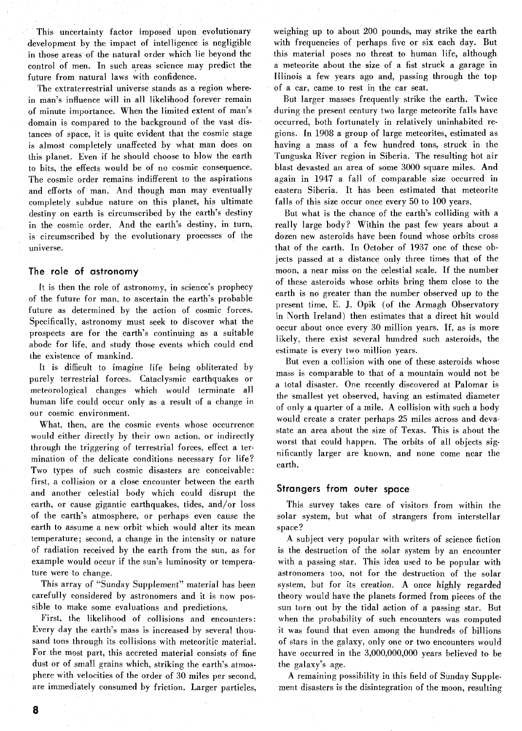This uncertainty factor imposed upon evolutionary development by the impact of intelligence is negligible in those areas of the natural order which lie beyond the control of men. In such areas science may predict the future from natural laws with confidence.

The extraterrestrial universe stands as a region wherein man's influence will in all likelihood forever remain of minute importance. When the limited extent of man's domain is compared to the background of the vast distances of space, it is quite evident that the cosmic stage is almost completely unaffected by what man does on this planet. Even if he should choose to blow the earth to bits, the effects would be of no cosmic consequence. The cosmic order remains indifferent to the aspirations and efforts of man. And though man may eventually completely subdue nature on this planet, his ultimate destiny on earth is circumscribed by the earth's destiny in the cosmic order. And the earth's destiny, in turn, is circumscribed by the evolutionary processes of the universe.

### **The role of astronomy**

It is then the role of astronomy, in science's prophecy of the future for man, to ascertain the earth's probable future as determined by the action of cosmic forces. Specifically, astronomy must seek to discover what the prospects are for the earth's continuing as a suitable abode for life, and study those events which could end the existence of mankind.

It is difficult to imagine life being obliterated by purely terrestrial forces. Cataclysmic earthquakes or meteorological changes which would terminate all human life could occur only as a result of a change in our cosmic environment.

What, then, are the cosmic events whose occurrence would either directly by their own action, or indirectly through the triggering of terrestrial forces, effect a termination of the delicate conditions necessary for life? Two types of such cosmic disasters are conceivable: first, a collision or a close encounter between the earth and another celestial body which could disrupt the earth, or cause gigantic earthquakes, tides, and/or loss of the earth's atmosphere, or perhaps even cause the earth to assume a new orbit which would alter its mean temperature; second, a change in the intensity or nature of radiation received by the earth from the sun, as for example would occur if the sun's luminosity or temperature were to change.

This array of "Sunday Supplement" material has been carefully considered by astronomers and it is now possible to make some evaluations and predictions.

First, the likelihood of collisions and encounters: Every day the earth's mass is increased by several thousand tons through its collisions with meteoritic material. For the most part, this accreted material consists of fine dust or of small grains which, striking the earth's atmosphere with velocities of the order of 30 miles per second, are immediately consumed by friction. Larger particles, weighing up to about 200 pounds, may strike the earth with frequencies of perhaps five or six each day. But this material poses no threat to human life, although a meteorite about the size of a fist struck a garage in Illinois a few years ago and, passing through the top of a car, came to rest in the car seat.

But larger masses frequently strike the earth. Twice during the present century two large meteorite falls have occurred, both fortunately in relatively uninhabited regions. In 1908 a group of large meteorites, estimated as having a mass of a few hundred tons, struck in the Tunguska River region in Siberia. The resulting hot air blast devasted an area of some 3000 square miles. And again in 1947 a fall of comparable size occurred in eastern Siberia. It has been estimated that meteorite falls of this size occur once every 50 to 100 years.

But what is the chance of the earth's colliding with a really large body? Within the past few years about a dozen new asteroids have been found whose orbits cross that of the earth. In October of 1937 one of these objects passed at a distance only three times that of the moon, a near miss on the celestial scale. If the number of these asteroids whose orbits bring them close to the earth is no greater than the number observed up to the present time, E. J. Opik (of the Armagh Observatory in North Ireland) then estimates that a direct hit would occur about once every 30 million years. If, as is more likely, there exist several hundred such asteroids, the estimate is every two million years.

But even a collision with one of these asteroids whose mass is comparable to that of a mountain would not be a total disaster. One recently discovered at Palomar is the smallest yet observed, having an estimated diameter of only a quarter of a mile. **A** collision with such a body would create a crater perhaps 25 miles across and devastate an area about the size of Texas. This is about the worst that could happen. The orbits of all objects significantly larger are known, and none come near the earth.

#### **Strangers from outer space**

This survey takes care of visitors from within the solar system, but what of strangers from interstellar space?

A subject very popular with writers of science fiction is the destruction of the solar system by an encounter with a passing star. This idea used to be popular with astronomers too, not for the destruction of the solar system, but for its creation. A once highly regarded theory would have the planets formed from pieces of the sun torn out by the tidal action of a passing star. But when the probability of such encounters was computed it was found that even among the hundreds of billions of stars in the galaxy, only one or two encounters would have occurred in the 3,000,000,000 years believed to be the galaxy's age.

A remaining possibility in this field of Sunday Supplement disasters is the disintegration of the moon, resulting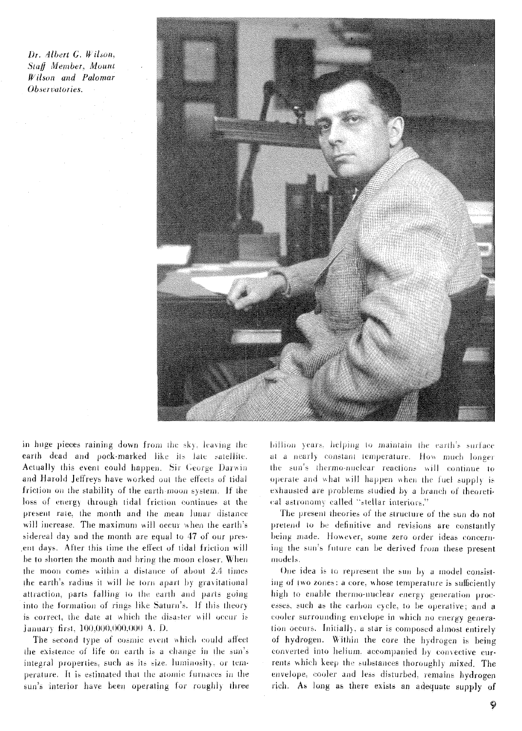Dr. Albert G. Wilson, Staff Member, Mount Wilson and Palomar Observatories.



in huge pieces raining down from the sky, leaving the earth dead and pock-marked like its late satellite. Actually this event could happen. Sir George Darwin and Harold Jeffreys have worked out the effects of tidal friction on the stability of the earth-moon system. If the loss of energy through tidal friction continues at the present rate, the month and the mean lunar distance will increase. The maximum will occur when the earth's sidereal day and the month are equal to 47 of our present days. After this time the effect of tidal friction will be to shorten the month and bring the moon closer. When the moon comes within a distance of about 2.4 times the earth's radius it will be torn apart by gravitational attraction, parts falling to the earth and parts going into the formation of rings like Saturn's. If this theory is correct, the date at which the disaster will occur is January first, 100,000,000,000 A. D.

The second type of cosmic event which could affect the existence of life on earth is a change in the sun's integral properties, such as its size. luminosity, or temperature. It is estimated that the atomic furnaces in the sun's interior have been operating for roughly three billion years, helping to maintain the earth's surface at a nearly constant temperature. How much longer the sun's thermo-nuclear reactions will continue to operate and what will happen when the fuel supply is exhausted are problems studied by a branch of theoretical astronomy called "stellar interiors."

The present theories of the structure of the sun do not pretend to be definitive and revisions are constantly being made. However, some zero order ideas concerning the sun's future can be derived from these present models.

One idea is to represent the sun by a model consisting of two zones: a core, whose temperature is sufficiently high to enable thermo-nuclear energy generation processes, such as the carbon cycle, to be operative; and a cooler surrounding envelope in which no energy generation occurs. Initially, a star is composed almost entirely of hydrogen. Within the core the hydrogen is being converted into helium, accompanied by convective currents which keep the substances thoroughly mixed. The envelope, cooler and less disturbed, remains hydrogen rich. As long as there exists an adequate supply of